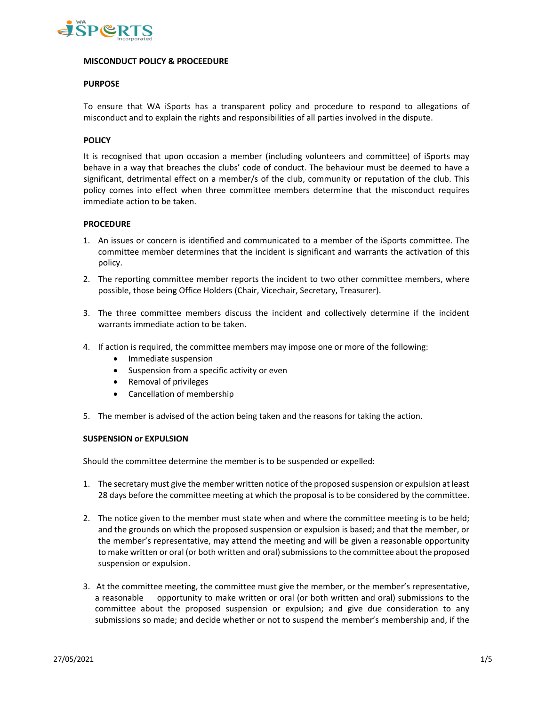

### **MISCONDUCT POLICY & PROCEEDURE**

## **PURPOSE**

To ensure that WA iSports has a transparent policy and procedure to respond to allegations of misconduct and to explain the rights and responsibilities of all parties involved in the dispute.

### **POLICY**

It is recognised that upon occasion a member (including volunteers and committee) of iSports may behave in a way that breaches the clubs' code of conduct. The behaviour must be deemed to have a significant, detrimental effect on a member/s of the club, community or reputation of the club. This policy comes into effect when three committee members determine that the misconduct requires immediate action to be taken.

#### **PROCEDURE**

- 1. An issues or concern is identified and communicated to a member of the iSports committee. The committee member determines that the incident is significant and warrants the activation of this policy.
- 2. The reporting committee member reports the incident to two other committee members, where possible, those being Office Holders (Chair, Vicechair, Secretary, Treasurer).
- 3. The three committee members discuss the incident and collectively determine if the incident warrants immediate action to be taken.
- 4. If action is required, the committee members may impose one or more of the following:
	- Immediate suspension
	- Suspension from a specific activity or even
	- Removal of privileges
	- Cancellation of membership
- 5. The member is advised of the action being taken and the reasons for taking the action.

#### **SUSPENSION or EXPULSION**

Should the committee determine the member is to be suspended or expelled:

- 1. The secretary must give the member written notice of the proposed suspension or expulsion at least 28 days before the committee meeting at which the proposal is to be considered by the committee.
- 2. The notice given to the member must state when and where the committee meeting is to be held; and the grounds on which the proposed suspension or expulsion is based; and that the member, or the member's representative, may attend the meeting and will be given a reasonable opportunity to make written or oral (or both written and oral) submissions to the committee about the proposed suspension or expulsion.
- 3. At the committee meeting, the committee must give the member, or the member's representative, a reasonable opportunity to make written or oral (or both written and oral) submissions to the committee about the proposed suspension or expulsion; and give due consideration to any submissions so made; and decide whether or not to suspend the member's membership and, if the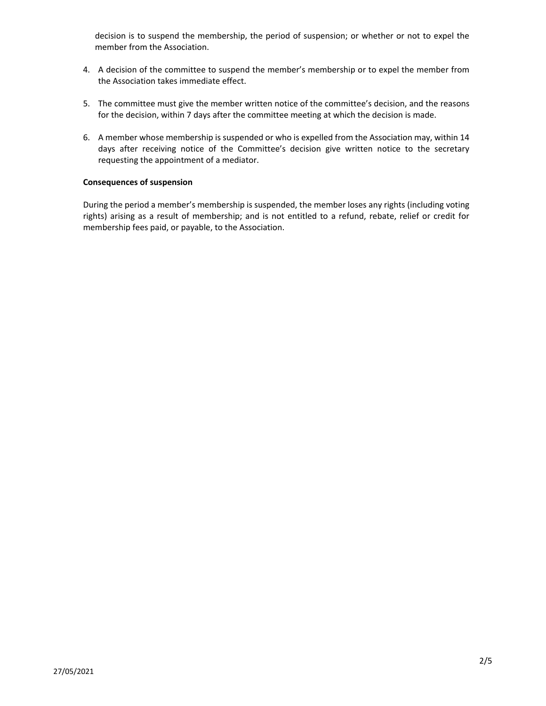decision is to suspend the membership, the period of suspension; or whether or not to expel the member from the Association.

- 4. A decision of the committee to suspend the member's membership or to expel the member from the Association takes immediate effect.
- 5. The committee must give the member written notice of the committee's decision, and the reasons for the decision, within 7 days after the committee meeting at which the decision is made.
- 6. A member whose membership is suspended or who is expelled from the Association may, within 14 days after receiving notice of the Committee's decision give written notice to the secretary requesting the appointment of a mediator.

## **Consequences of suspension**

During the period a member's membership is suspended, the member loses any rights (including voting rights) arising as a result of membership; and is not entitled to a refund, rebate, relief or credit for membership fees paid, or payable, to the Association.